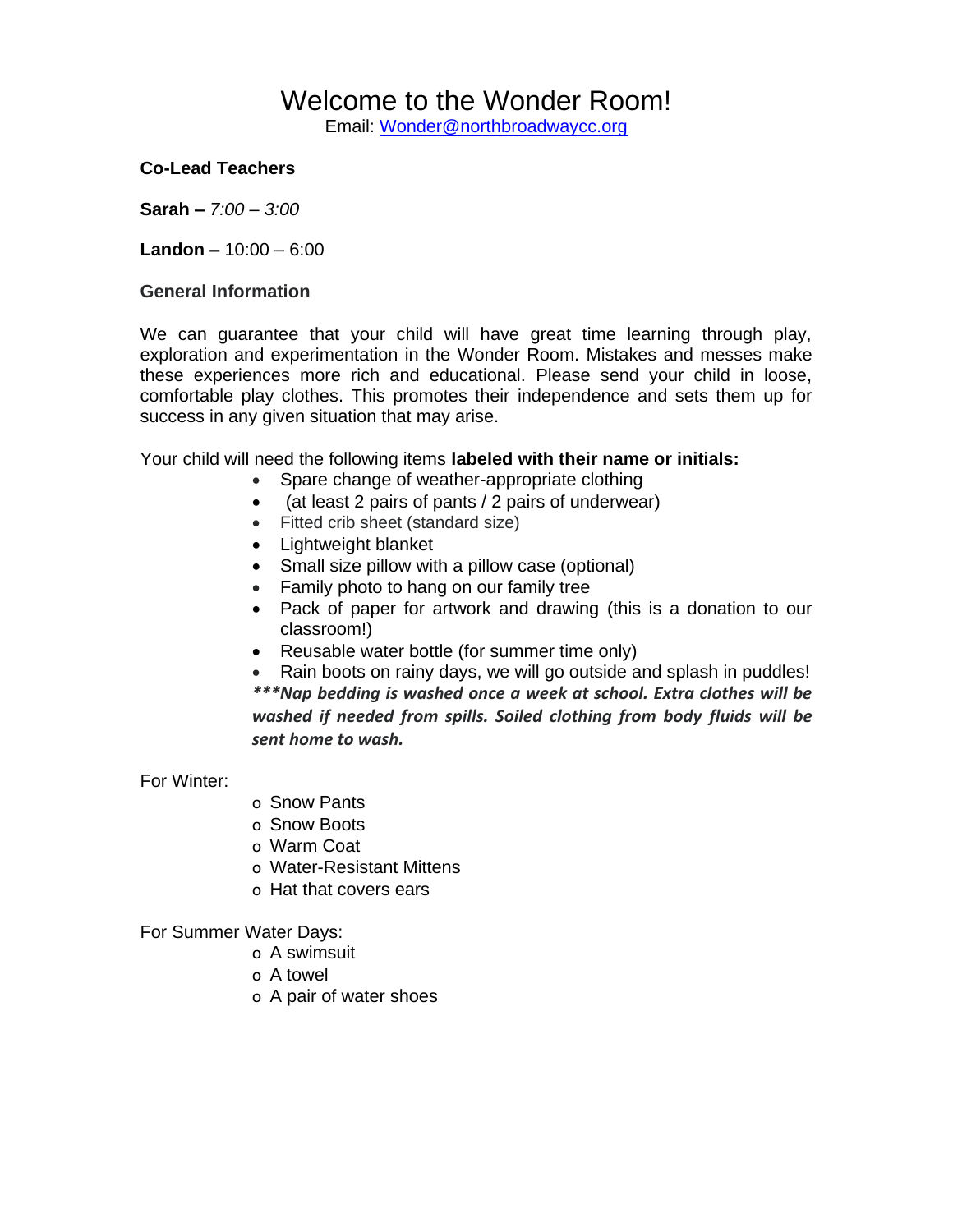# Welcome to the Wonder Room!

Email: [Wonder@northbroadwaycc.org](mailto:Wonder@northbroadwaycc.org)

## **Co-Lead Teachers**

**Sarah –** *7:00 – 3:00*

**Landon –** 10:00 – 6:00

#### **General Information**

We can guarantee that your child will have great time learning through play, exploration and experimentation in the Wonder Room. Mistakes and messes make these experiences more rich and educational. Please send your child in loose, comfortable play clothes. This promotes their independence and sets them up for success in any given situation that may arise.

Your child will need the following items **labeled with their name or initials:**

- Spare change of weather-appropriate clothing
- (at least 2 pairs of pants / 2 pairs of underwear)
- Fitted crib sheet (standard size)
- Lightweight blanket
- Small size pillow with a pillow case (optional)
- Family photo to hang on our family tree
- Pack of paper for artwork and drawing (this is a donation to our classroom!)
- Reusable water bottle (for summer time only)
- Rain boots on rainy days, we will go outside and splash in puddles! *\*\*\*Nap bedding is washed once a week at school. Extra clothes will be washed if needed from spills. Soiled clothing from body fluids will be sent home to wash.*

For Winter:

- o Snow Pants
- o Snow Boots
- o Warm Coat
- o Water-Resistant Mittens
- o Hat that covers ears

For Summer Water Days:

- o A swimsuit
- o A towel
- o A pair of water shoes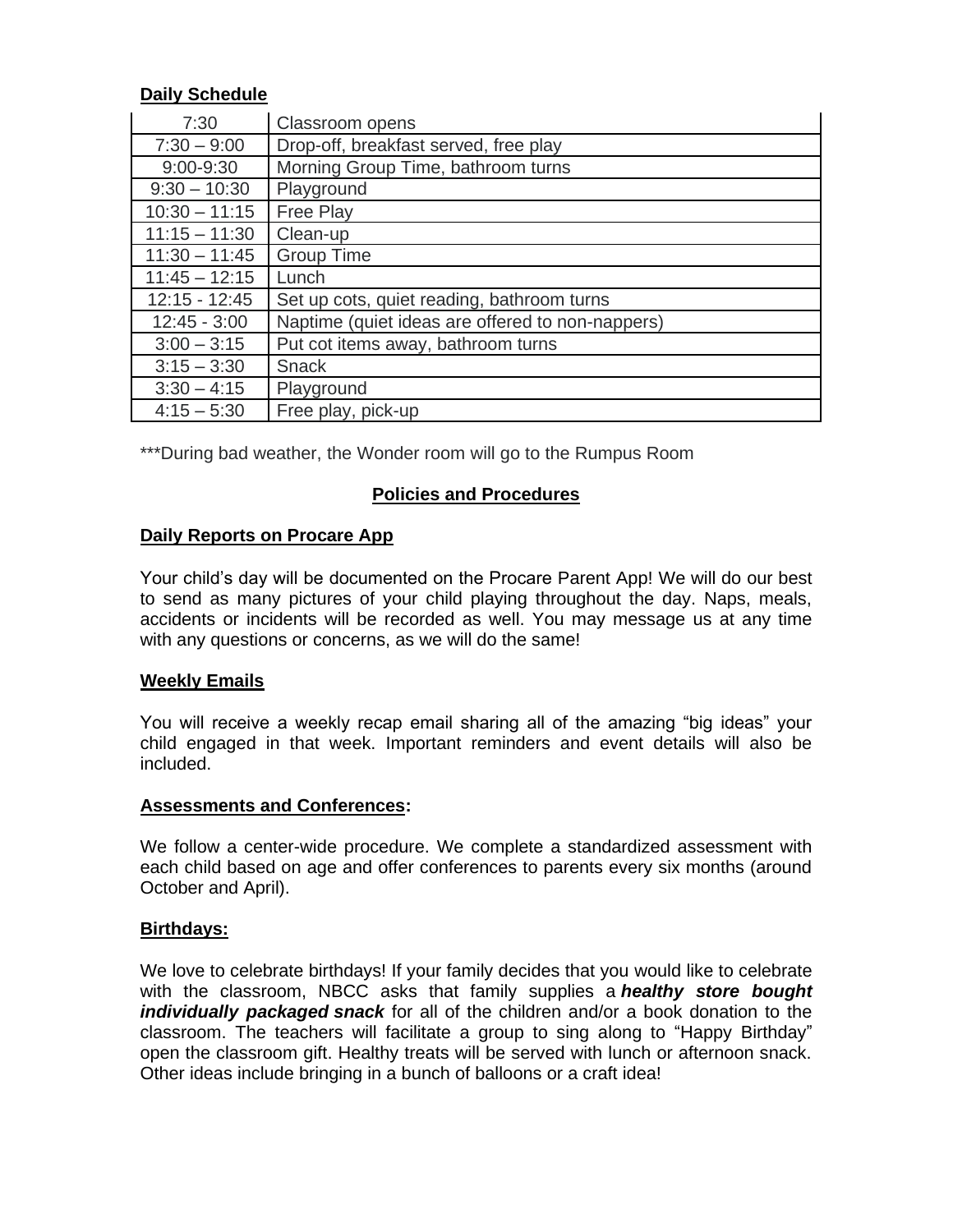## **Daily Schedule**

| 7:30            | Classroom opens                                  |
|-----------------|--------------------------------------------------|
| $7:30 - 9:00$   | Drop-off, breakfast served, free play            |
| $9:00 - 9:30$   | Morning Group Time, bathroom turns               |
| $9:30 - 10:30$  | Playground                                       |
| $10:30 - 11:15$ | <b>Free Play</b>                                 |
| $11:15 - 11:30$ | Clean-up                                         |
| $11:30 - 11:45$ | <b>Group Time</b>                                |
| $11:45 - 12:15$ | Lunch                                            |
| $12:15 - 12:45$ | Set up cots, quiet reading, bathroom turns       |
| $12:45 - 3:00$  | Naptime (quiet ideas are offered to non-nappers) |
| $3:00 - 3:15$   | Put cot items away, bathroom turns               |
| $3:15 - 3:30$   | <b>Snack</b>                                     |
| $3:30 - 4:15$   | Playground                                       |
| $4:15 - 5:30$   | Free play, pick-up                               |

\*\*\*During bad weather, the Wonder room will go to the Rumpus Room

## **Policies and Procedures**

## **Daily Reports on Procare App**

Your child's day will be documented on the Procare Parent App! We will do our best to send as many pictures of your child playing throughout the day. Naps, meals, accidents or incidents will be recorded as well. You may message us at any time with any questions or concerns, as we will do the same!

## **Weekly Emails**

You will receive a weekly recap email sharing all of the amazing "big ideas" your child engaged in that week. Important reminders and event details will also be included.

## **Assessments and Conferences:**

We follow a center-wide procedure. We complete a standardized assessment with each child based on age and offer conferences to parents every six months (around October and April).

## **Birthdays:**

We love to celebrate birthdays! If your family decides that you would like to celebrate with the classroom, NBCC asks that family supplies a *healthy store bought individually packaged snack* for all of the children and/or a book donation to the classroom. The teachers will facilitate a group to sing along to "Happy Birthday" open the classroom gift. Healthy treats will be served with lunch or afternoon snack. Other ideas include bringing in a bunch of balloons or a craft idea!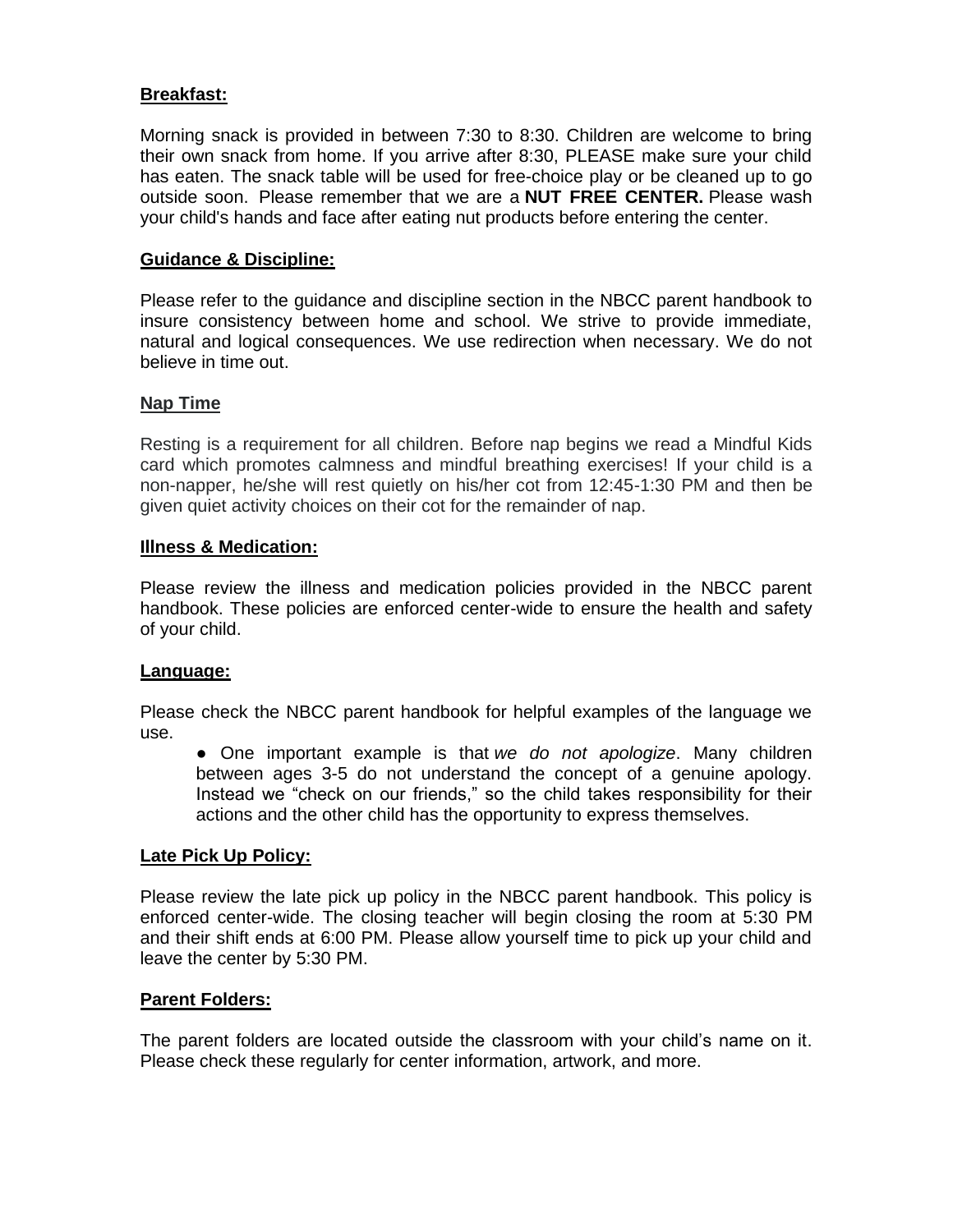## **Breakfast:**

Morning snack is provided in between 7:30 to 8:30. Children are welcome to bring their own snack from home. If you arrive after 8:30, PLEASE make sure your child has eaten. The snack table will be used for free-choice play or be cleaned up to go outside soon. Please remember that we are a **NUT FREE CENTER.** Please wash your child's hands and face after eating nut products before entering the center.

### **Guidance & Discipline:**

Please refer to the guidance and discipline section in the NBCC parent handbook to insure consistency between home and school. We strive to provide immediate, natural and logical consequences. We use redirection when necessary. We do not believe in time out.

#### **Nap Time**

Resting is a requirement for all children. Before nap begins we read a Mindful Kids card which promotes calmness and mindful breathing exercises! If your child is a non-napper, he/she will rest quietly on his/her cot from 12:45-1:30 PM and then be given quiet activity choices on their cot for the remainder of nap.

#### **Illness & Medication:**

Please review the illness and medication policies provided in the NBCC parent handbook. These policies are enforced center-wide to ensure the health and safety of your child.

#### **Language:**

Please check the NBCC parent handbook for helpful examples of the language we use.

● One important example is that *we do not apologize*. Many children between ages 3-5 do not understand the concept of a genuine apology. Instead we "check on our friends," so the child takes responsibility for their actions and the other child has the opportunity to express themselves.

#### **Late Pick Up Policy:**

Please review the late pick up policy in the NBCC parent handbook. This policy is enforced center-wide. The closing teacher will begin closing the room at 5:30 PM and their shift ends at 6:00 PM. Please allow yourself time to pick up your child and leave the center by 5:30 PM.

## **Parent Folders:**

The parent folders are located outside the classroom with your child's name on it. Please check these regularly for center information, artwork, and more.